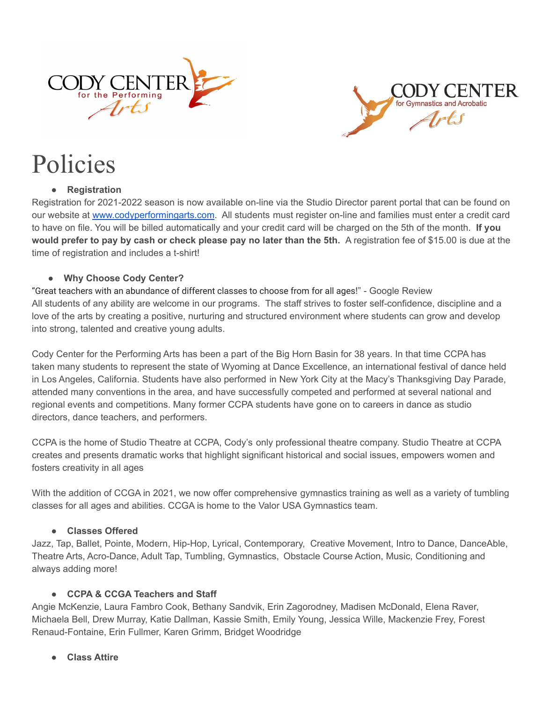



# Policies

## **● Registration**

Registration for 2021-2022 season is now available on-line via the Studio Director parent portal that can be found on our website at [www.codyperformingarts.com.](http://www.codyperformingarts.com) All students must register on-line and families must enter a credit card to have on file. You will be billed automatically and your credit card will be charged on the 5th of the month. **If you would prefer to pay by cash or check please pay no later than the 5th.** A registration fee of \$15.00 is due at the time of registration and includes a t-shirt!

## **● Why Choose Cody Center?**

"Great teachers with an abundance of different classes to choose from for all ages!" - Google Review All students of any ability are welcome in our programs. The staff strives to foster self-confidence, discipline and a love of the arts by creating a positive, nurturing and structured environment where students can grow and develop into strong, talented and creative young adults.

Cody Center for the Performing Arts has been a part of the Big Horn Basin for 38 years. In that time CCPA has taken many students to represent the state of Wyoming at Dance Excellence, an international festival of dance held in Los Angeles, California. Students have also performed in New York City at the Macy's Thanksgiving Day Parade, attended many conventions in the area, and have successfully competed and performed at several national and regional events and competitions. Many former CCPA students have gone on to careers in dance as studio directors, dance teachers, and performers.

CCPA is the home of Studio Theatre at CCPA, Cody's only professional theatre company. Studio Theatre at CCPA creates and presents dramatic works that highlight significant historical and social issues, empowers women and fosters creativity in all ages

With the addition of CCGA in 2021, we now offer comprehensive gymnastics training as well as a variety of tumbling classes for all ages and abilities. CCGA is home to the Valor USA Gymnastics team.

## **● Classes Offered**

Jazz, Tap, Ballet, Pointe, Modern, Hip-Hop, Lyrical, Contemporary, Creative Movement, Intro to Dance, DanceAble, Theatre Arts, Acro-Dance, Adult Tap, Tumbling, Gymnastics, Obstacle Course Action, Music, Conditioning and always adding more!

# **● CCPA & CCGA Teachers and Staff**

Angie McKenzie, Laura Fambro Cook, Bethany Sandvik, Erin Zagorodney, Madisen McDonald, Elena Raver, Michaela Bell, Drew Murray, Katie Dallman, Kassie Smith, Emily Young, Jessica Wille, Mackenzie Frey, Forest Renaud-Fontaine, Erin Fullmer, Karen Grimm, Bridget Woodridge

● **Class Attire**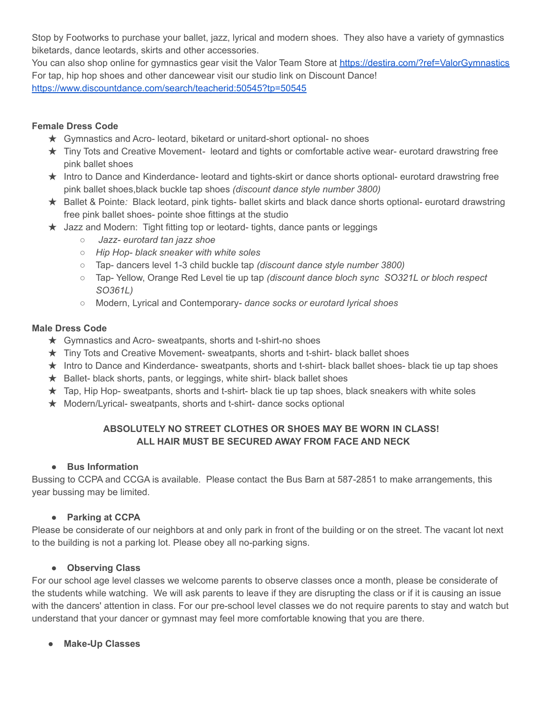Stop by Footworks to purchase your ballet, jazz, lyrical and modern shoes. They also have a variety of gymnastics biketards, dance leotards, skirts and other accessories.

You can also shop online for gymnastics gear visit the Valor Team Store at <https://destira.com/?ref=ValorGymnastics> For tap, hip hop shoes and other dancewear visit our studio link on Discount Dance! <https://www.discountdance.com/search/teacherid:50545?tp=50545>

## **Female Dress Code**

- ★ Gymnastics and Acro- leotard, biketard or unitard-short optional- no shoes
- ★ Tiny Tots and Creative Movement*-* leotard and tights or comfortable active wear- eurotard drawstring free pink ballet shoes
- ★ Intro to Dance and Kinderdance*-* leotard and tights-skirt or dance shorts optional- eurotard drawstring free pink ballet shoes,black buckle tap shoes *(discount dance style number 3800)*
- ★ Ballet & Pointe*:* Black leotard, pink tights- ballet skirts and black dance shorts optional- eurotard drawstring free pink ballet shoes- pointe shoe fittings at the studio
- $\star$  Jazz and Modern: Tight fitting top or leotard- tights, dance pants or leggings
	- *Jazz- eurotard tan jazz shoe*
	- *○ Hip Hop- black sneaker with white soles*
	- *○* Tap- dancers level 1-3 child buckle tap *(discount dance style number 3800)*
	- *○* Tap- Yellow, Orange Red Level tie up tap *(discount dance bloch sync SO321L or bloch respect SO361L)*
	- *○* Modern, Lyrical and Contemporary *dance socks or eurotard lyrical shoes*

## **Male Dress Code**

- ★ Gymnastics and Acro- sweatpants, shorts and t-shirt-no shoes
- ★ Tiny Tots and Creative Movement- sweatpants, shorts and t-shirt- black ballet shoes
- ★ Intro to Dance and Kinderdance- sweatpants, shorts and t-shirt- black ballet shoes- black tie up tap shoes
- $\star$  Ballet- black shorts, pants, or leggings, white shirt- black ballet shoes
- $\star$  Tap, Hip Hop- sweatpants, shorts and t-shirt- black tie up tap shoes, black sneakers with white soles
- ★ Modern/Lyrical- sweatpants, shorts and t-shirt- dance socks optional

# **ABSOLUTELY NO STREET CLOTHES OR SHOES MAY BE WORN IN CLASS! ALL HAIR MUST BE SECURED AWAY FROM FACE AND NECK**

## **● Bus Information**

Bussing to CCPA and CCGA is available. Please contact the Bus Barn at 587-2851 to make arrangements, this year bussing may be limited.

# **● Parking at CCPA**

Please be considerate of our neighbors at and only park in front of the building or on the street. The vacant lot next to the building is not a parking lot. Please obey all no-parking signs.

# **● Observing Class**

For our school age level classes we welcome parents to observe classes once a month, please be considerate of the students while watching. We will ask parents to leave if they are disrupting the class or if it is causing an issue with the dancers' attention in class. For our pre-school level classes we do not require parents to stay and watch but understand that your dancer or gymnast may feel more comfortable knowing that you are there.

**● Make-Up Classes**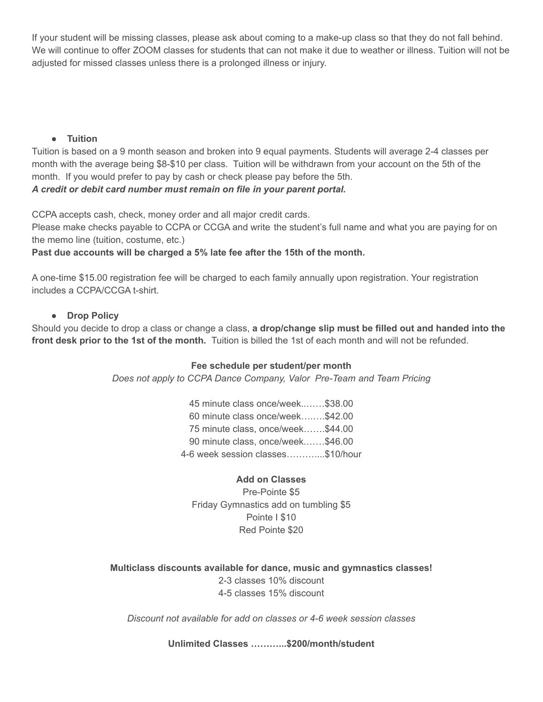If your student will be missing classes, please ask about coming to a make-up class so that they do not fall behind. We will continue to offer ZOOM classes for students that can not make it due to weather or illness. Tuition will not be adjusted for missed classes unless there is a prolonged illness or injury.

#### **● Tuition**

Tuition is based on a 9 month season and broken into 9 equal payments. Students will average 2-4 classes per month with the average being \$8-\$10 per class. Tuition will be withdrawn from your account on the 5th of the month. If you would prefer to pay by cash or check please pay before the 5th.

*A credit or debit card number must remain on file in your parent portal.*

CCPA accepts cash, check, money order and all major credit cards.

Please make checks payable to CCPA or CCGA and write the student's full name and what you are paying for on the memo line (tuition, costume, etc.)

## **Past due accounts will be charged a 5% late fee after the 15th of the month.**

A one-time \$15.00 registration fee will be charged to each family annually upon registration. Your registration includes a CCPA/CCGA t-shirt.

## **● Drop Policy**

Should you decide to drop a class or change a class, **a drop/change slip must be filled out and handed into the front desk prior to the 1st of the month.** Tuition is billed the 1st of each month and will not be refunded.

## **Fee schedule per student/per month**

*Does not apply to CCPA Dance Company, Valor Pre-Team and Team Pricing*

45 minute class once/week..……\$38.00 60 minute class once/week….….\$42.00 75 minute class, once/week…….\$44.00 90 minute class, once/week.……\$46.00 4-6 week session classes………....\$10/hour

## **Add on Classes**

Pre-Pointe \$5 Friday Gymnastics add on tumbling \$5 Pointe I \$10 Red Pointe \$20

**Multiclass discounts available for dance, music and gymnastics classes!** 2-3 classes 10% discount 4-5 classes 15% discount

*Discount not available for add on classes or 4-6 week session classes*

**Unlimited Classes ………...\$200/month/student**